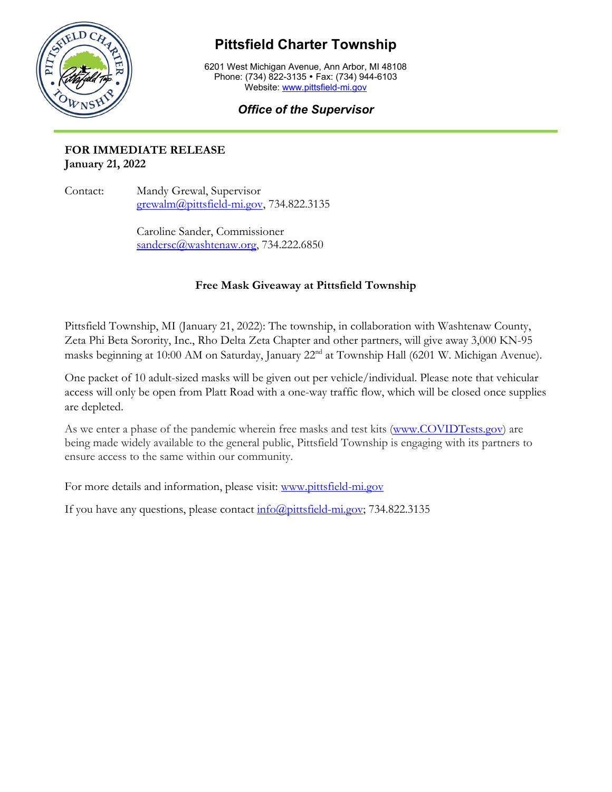

## **Pittsfield Charter Township**

6201 West Michigan Avenue, Ann Arbor, MI 48108 Phone: (734) 822-3135 • Fax: (734) 944-6103 Website: [www.pittsfield-mi.gov](http://www.pittsfield-mi.gov/)

## *Office of the Supervisor*

## **FOR IMMEDIATE RELEASE January 21, 2022**

Contact: Mandy Grewal, Supervisor [grewalm@pittsfield-mi.gov,](mailto:grewalm@pittsfield-mi.gov) 734.822.3135

> Caroline Sander, Commissioner [sandersc@washtenaw.org,](mailto:sandersc@washtenaw.org) 734.222.6850

## **Free Mask Giveaway at Pittsfield Township**

Pittsfield Township, MI (January 21, 2022): The township, in collaboration with Washtenaw County, Zeta Phi Beta Sorority, Inc., Rho Delta Zeta Chapter and other partners, will give away 3,000 KN-95 masks beginning at 10:00 AM on Saturday, January 22<sup>nd</sup> at Township Hall (6201 W. Michigan Avenue).

One packet of 10 adult-sized masks will be given out per vehicle/individual. Please note that vehicular access will only be open from Platt Road with a one-way traffic flow, which will be closed once supplies are depleted.

As we enter a phase of the pandemic wherein free masks and test kits [\(www.COVIDTests.gov\)](http://www.covidtests.gov/) are being made widely available to the general public, Pittsfield Township is engaging with its partners to ensure access to the same within our community.

For more details and information, please visit: [www.pittsfield-mi.gov](http://www.pittsfield-mi.gov/)

If you have any questions, please contact  $\frac{info(\hat{a})pittsfield-mi.gov}{T}$ , 734.822.3135